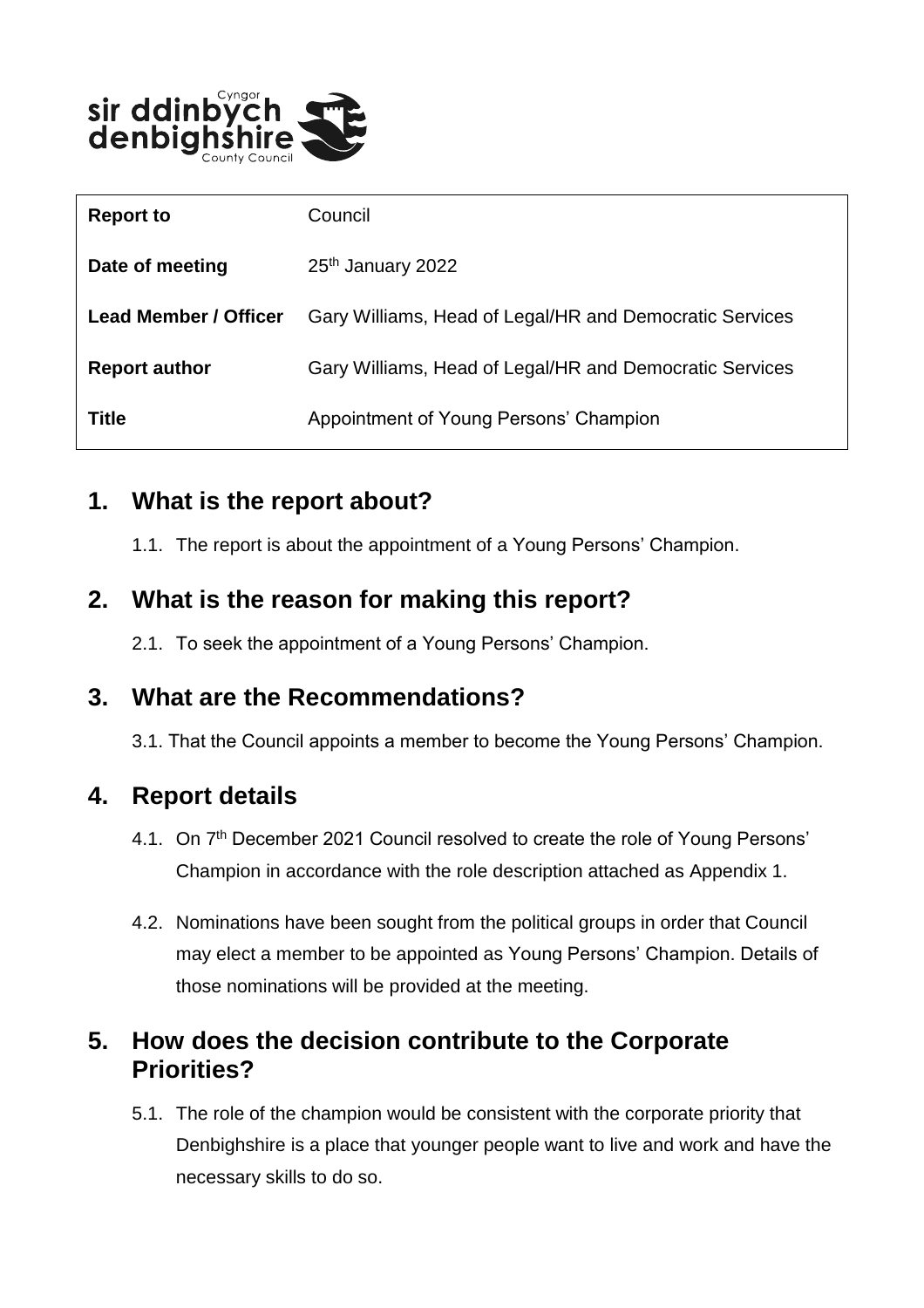

| <b>Report to</b>             | Council                                                 |
|------------------------------|---------------------------------------------------------|
| Date of meeting              | 25 <sup>th</sup> January 2022                           |
| <b>Lead Member / Officer</b> | Gary Williams, Head of Legal/HR and Democratic Services |
| <b>Report author</b>         | Gary Williams, Head of Legal/HR and Democratic Services |
| <b>Title</b>                 | Appointment of Young Persons' Champion                  |

## **1. What is the report about?**

1.1. The report is about the appointment of a Young Persons' Champion.

# **2. What is the reason for making this report?**

2.1. To seek the appointment of a Young Persons' Champion.

## **3. What are the Recommendations?**

3.1. That the Council appoints a member to become the Young Persons' Champion.

# **4. Report details**

- 4.1. On 7<sup>th</sup> December 2021 Council resolved to create the role of Young Persons' Champion in accordance with the role description attached as Appendix 1.
- 4.2. Nominations have been sought from the political groups in order that Council may elect a member to be appointed as Young Persons' Champion. Details of those nominations will be provided at the meeting.

# **5. How does the decision contribute to the Corporate Priorities?**

5.1. The role of the champion would be consistent with the corporate priority that Denbighshire is a place that younger people want to live and work and have the necessary skills to do so.